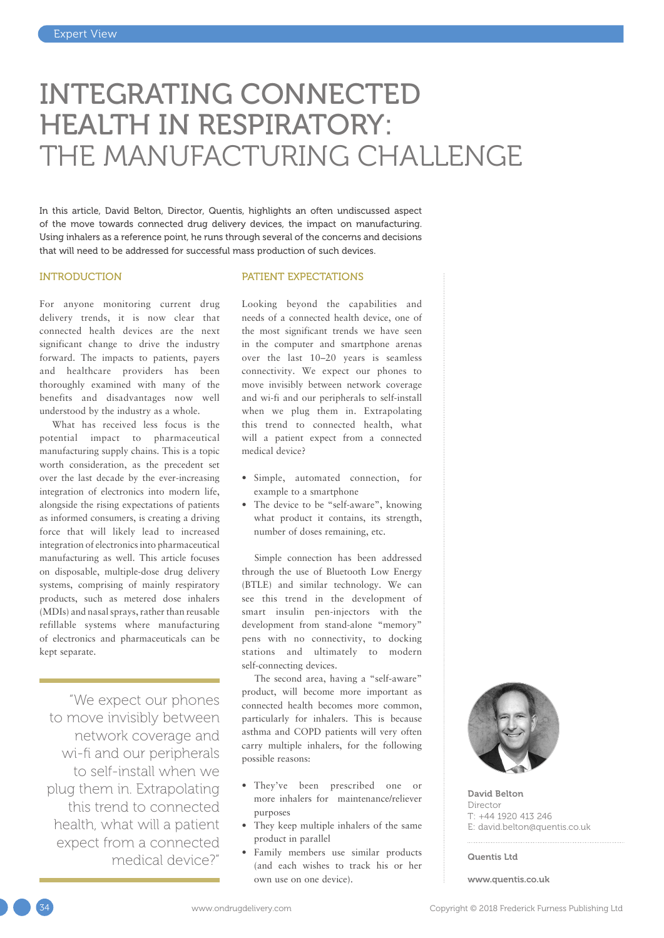# INTEGRATING CONNECTED HEALTH IN RESPIRATORY: THE MANUFACTURING CHALLENGE

In this article, David Belton, Director, Quentis, highlights an often undiscussed aspect of the move towards connected drug delivery devices, the impact on manufacturing. Using inhalers as a reference point, he runs through several of the concerns and decisions that will need to be addressed for successful mass production of such devices.

#### INTRODUCTION

For anyone monitoring current drug delivery trends, it is now clear that connected health devices are the next significant change to drive the industry forward. The impacts to patients, payers and healthcare providers has been thoroughly examined with many of the benefits and disadvantages now well understood by the industry as a whole.

What has received less focus is the potential impact to pharmaceutical manufacturing supply chains. This is a topic worth consideration, as the precedent set over the last decade by the ever-increasing integration of electronics into modern life, alongside the rising expectations of patients as informed consumers, is creating a driving force that will likely lead to increased integration of electronics into pharmaceutical manufacturing as well. This article focuses on disposable, multiple-dose drug delivery systems, comprising of mainly respiratory products, such as metered dose inhalers (MDIs) and nasal sprays, rather than reusable refillable systems where manufacturing of electronics and pharmaceuticals can be kept separate.

"We expect our phones to move invisibly between network coverage and wi-fi and our peripherals to self-install when we plug them in. Extrapolating this trend to connected health, what will a patient expect from a connected medical device?"

#### PATIENT EXPECTATIONS

Looking beyond the capabilities and needs of a connected health device, one of the most significant trends we have seen in the computer and smartphone arenas over the last 10–20 years is seamless connectivity. We expect our phones to move invisibly between network coverage and wi-fi and our peripherals to self-install when we plug them in. Extrapolating this trend to connected health, what will a patient expect from a connected medical device?

- Simple, automated connection, for example to a smartphone
- The device to be "self-aware", knowing what product it contains, its strength, number of doses remaining, etc.

Simple connection has been addressed through the use of Bluetooth Low Energy (BTLE) and similar technology. We can see this trend in the development of smart insulin pen-injectors with the development from stand-alone "memory" pens with no connectivity, to docking stations and ultimately to modern self-connecting devices.

The second area, having a "self-aware" product, will become more important as connected health becomes more common, particularly for inhalers. This is because asthma and COPD patients will very often carry multiple inhalers, for the following possible reasons:

- They've been prescribed one or more inhalers for maintenance/reliever purposes
- They keep multiple inhalers of the same product in parallel
- Family members use similar products (and each wishes to track his or her own use on one device).



David Belton Director T: +44 1920 413 246 E: [david.belton@quentis.co.uk](mailto:david.belton@quentis.co.uk)

Quentis Ltd

[www.quentis.co.uk](http://www.quentis.co.uk)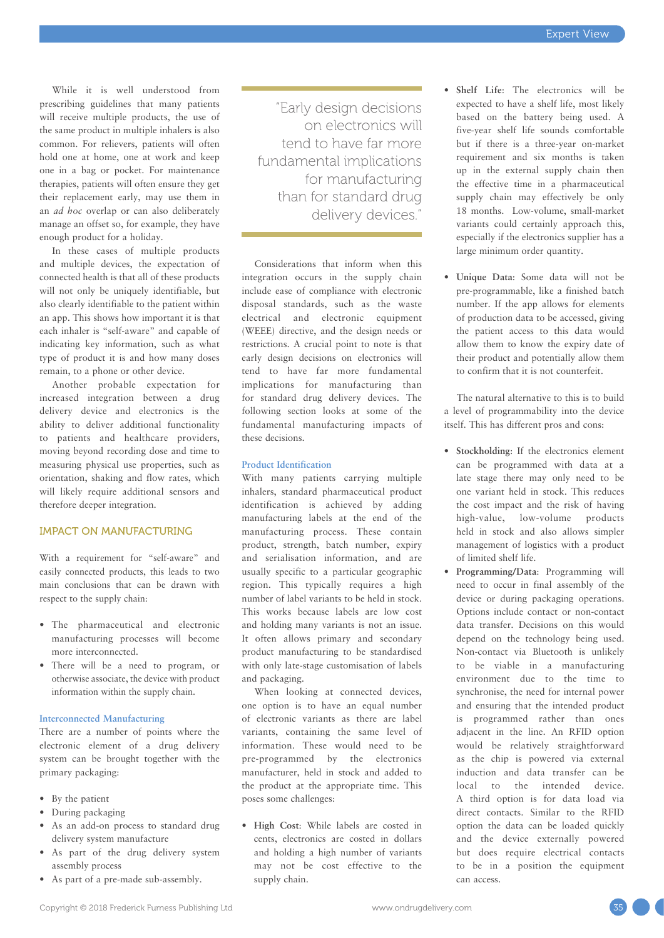While it is well understood from prescribing guidelines that many patients will receive multiple products, the use of the same product in multiple inhalers is also common. For relievers, patients will often hold one at home, one at work and keep one in a bag or pocket. For maintenance therapies, patients will often ensure they get their replacement early, may use them in an *ad hoc* overlap or can also deliberately manage an offset so, for example, they have enough product for a holiday.

In these cases of multiple products and multiple devices, the expectation of connected health is that all of these products will not only be uniquely identifiable, but also clearly identifiable to the patient within an app. This shows how important it is that each inhaler is "self-aware" and capable of indicating key information, such as what type of product it is and how many doses remain, to a phone or other device.

Another probable expectation for increased integration between a drug delivery device and electronics is the ability to deliver additional functionality to patients and healthcare providers, moving beyond recording dose and time to measuring physical use properties, such as orientation, shaking and flow rates, which will likely require additional sensors and therefore deeper integration.

## IMPACT ON MANUFACTURING

With a requirement for "self-aware" and easily connected products, this leads to two main conclusions that can be drawn with respect to the supply chain:

- The pharmaceutical and electronic manufacturing processes will become more interconnected.
- There will be a need to program, or otherwise associate, the device with product information within the supply chain.

#### **Interconnected Manufacturing**

There are a number of points where the electronic element of a drug delivery system can be brought together with the primary packaging:

- By the patient
- During packaging
- As an add-on process to standard drug delivery system manufacture
- As part of the drug delivery system assembly process
- As part of a pre-made sub-assembly.

"Early design decisions on electronics will tend to have far more fundamental implications for manufacturing than for standard drug delivery devices."

Considerations that inform when this integration occurs in the supply chain include ease of compliance with electronic disposal standards, such as the waste electrical and electronic equipment (WEEE) directive, and the design needs or restrictions. A crucial point to note is that early design decisions on electronics will tend to have far more fundamental implications for manufacturing than for standard drug delivery devices. The following section looks at some of the fundamental manufacturing impacts of these decisions.

### **Product Identification**

With many patients carrying multiple inhalers, standard pharmaceutical product identification is achieved by adding manufacturing labels at the end of the manufacturing process. These contain product, strength, batch number, expiry and serialisation information, and are usually specific to a particular geographic region. This typically requires a high number of label variants to be held in stock. This works because labels are low cost and holding many variants is not an issue. It often allows primary and secondary product manufacturing to be standardised with only late-stage customisation of labels and packaging.

When looking at connected devices. one option is to have an equal number of electronic variants as there are label variants, containing the same level of information. These would need to be pre-programmed by the electronics manufacturer, held in stock and added to the product at the appropriate time. This poses some challenges:

• **High Cost**: While labels are costed in cents, electronics are costed in dollars and holding a high number of variants may not be cost effective to the supply chain.

- **Shelf Life**: The electronics will be expected to have a shelf life, most likely based on the battery being used. A five-year shelf life sounds comfortable but if there is a three-year on-market requirement and six months is taken up in the external supply chain then the effective time in a pharmaceutical supply chain may effectively be only 18 months. Low-volume, small-market variants could certainly approach this, especially if the electronics supplier has a large minimum order quantity.
- **Unique Data**: Some data will not be pre-programmable, like a finished batch number. If the app allows for elements of production data to be accessed, giving the patient access to this data would allow them to know the expiry date of their product and potentially allow them to confirm that it is not counterfeit.

The natural alternative to this is to build a level of programmability into the device itself. This has different pros and cons:

- **Stockholding**: If the electronics element can be programmed with data at a late stage there may only need to be one variant held in stock. This reduces the cost impact and the risk of having high-value, low-volume products held in stock and also allows simpler management of logistics with a product of limited shelf life.
- **Programming/Data**: Programming will need to occur in final assembly of the device or during packaging operations. Options include contact or non-contact data transfer. Decisions on this would depend on the technology being used. Non-contact via Bluetooth is unlikely to be viable in a manufacturing environment due to the time to synchronise, the need for internal power and ensuring that the intended product is programmed rather than ones adjacent in the line. An RFID option would be relatively straightforward as the chip is powered via external induction and data transfer can be local to the intended device. A third option is for data load via direct contacts. Similar to the RFID option the data can be loaded quickly and the device externally powered but does require electrical contacts to be in a position the equipment can access.